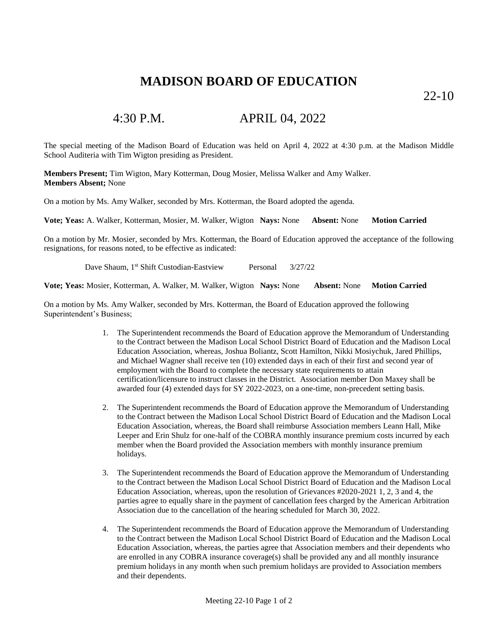## **MADISON BOARD OF EDUCATION**

22-10

## 4:30 P.M. APRIL 04, 2022

The special meeting of the Madison Board of Education was held on April 4, 2022 at 4:30 p.m. at the Madison Middle School Auditeria with Tim Wigton presiding as President.

**Members Present;** Tim Wigton, Mary Kotterman, Doug Mosier, Melissa Walker and Amy Walker. **Members Absent;** None

On a motion by Ms. Amy Walker, seconded by Mrs. Kotterman, the Board adopted the agenda.

**Vote; Yeas:** A. Walker, Kotterman, Mosier, M. Walker, Wigton **Nays:** None **Absent:** None **Motion Carried**

On a motion by Mr. Mosier, seconded by Mrs. Kotterman, the Board of Education approved the acceptance of the following resignations, for reasons noted, to be effective as indicated:

Dave Shaum, 1<sup>st</sup> Shift Custodian-Eastview Personal 3/27/22

**Vote; Yeas:** Mosier, Kotterman, A. Walker, M. Walker, Wigton **Nays:** None **Absent:** None **Motion Carried**

On a motion by Ms. Amy Walker, seconded by Mrs. Kotterman, the Board of Education approved the following Superintendent's Business;

- 1. The Superintendent recommends the Board of Education approve the Memorandum of Understanding to the Contract between the Madison Local School District Board of Education and the Madison Local Education Association, whereas, Joshua Boliantz, Scott Hamilton, Nikki Mosiychuk, Jared Phillips, and Michael Wagner shall receive ten (10) extended days in each of their first and second year of employment with the Board to complete the necessary state requirements to attain certification/licensure to instruct classes in the District. Association member Don Maxey shall be awarded four (4) extended days for SY 2022-2023, on a one-time, non-precedent setting basis.
- 2. The Superintendent recommends the Board of Education approve the Memorandum of Understanding to the Contract between the Madison Local School District Board of Education and the Madison Local Education Association, whereas, the Board shall reimburse Association members Leann Hall, Mike Leeper and Erin Shulz for one-half of the COBRA monthly insurance premium costs incurred by each member when the Board provided the Association members with monthly insurance premium holidays.
- 3. The Superintendent recommends the Board of Education approve the Memorandum of Understanding to the Contract between the Madison Local School District Board of Education and the Madison Local Education Association, whereas, upon the resolution of Grievances #2020-2021 1, 2, 3 and 4, the parties agree to equally share in the payment of cancellation fees charged by the American Arbitration Association due to the cancellation of the hearing scheduled for March 30, 2022.
- 4. The Superintendent recommends the Board of Education approve the Memorandum of Understanding to the Contract between the Madison Local School District Board of Education and the Madison Local Education Association, whereas, the parties agree that Association members and their dependents who are enrolled in any COBRA insurance coverage(s) shall be provided any and all monthly insurance premium holidays in any month when such premium holidays are provided to Association members and their dependents.